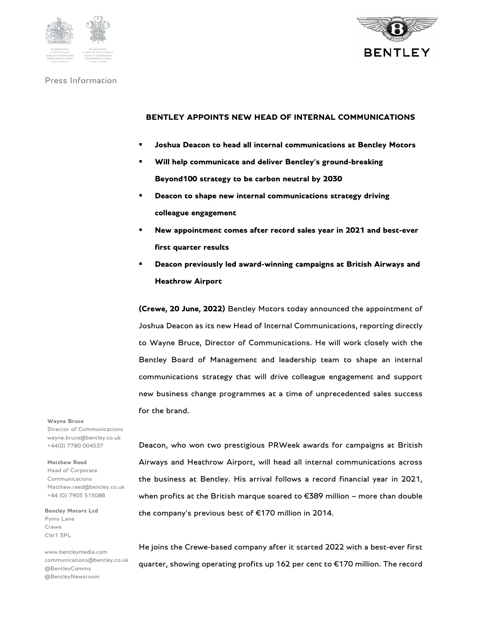



# Press Information

# **BENTLEY APPOINTS NEW HEAD OF INTERNAL COMMUNICATIONS**

- **Joshua Deacon to head all internal communications at Bentley Motors**
- **Will help communicate and deliver Bentley's ground-breaking Beyond100 strategy to be carbon neutral by 2030**
- **Deacon to shape new internal communications strategy driving colleague engagement**
- **New appointment comes after record sales year in 2021 and best-ever first quarter results**
- **Deacon previously led award-winning campaigns at British Airways and Heathrow Airport**

**(Crewe, 20 June, 2022)** Bentley Motors today announced the appointment of Joshua Deacon as its new Head of Internal Communications, reporting directly to Wayne Bruce, Director of Communications. He will work closely with the Bentley Board of Management and leadership team to shape an internal communications strategy that will drive colleague engagement and support new business change programmes at a time of unprecedented sales success for the brand.

**Wayne Bruce** 

Director of Communications wayne.bruce@bentley.co.uk +44(0) 7780 004537

### **Matthew Reed**

Head of Corporate Communications Matthew.reed@bentley.co.uk +44 (0) 7903 515088

**Bentley Motors Ltd**  Pyms Lane Crewe CW1 3PL

www.bentleymedia.com communications@bentley.co.uk @BentleyComms @BentleyNewsroom

Deacon, who won two prestigious PRWeek awards for campaigns at British Airways and Heathrow Airport, will head all internal communications across the business at Bentley. His arrival follows a record financial year in 2021, when profits at the British marque soared to €389 million – more than double the company's previous best of €170 million in 2014.

He joins the Crewe-based company after it started 2022 with a best-ever first quarter, showing operating profits up 162 per cent to €170 million. The record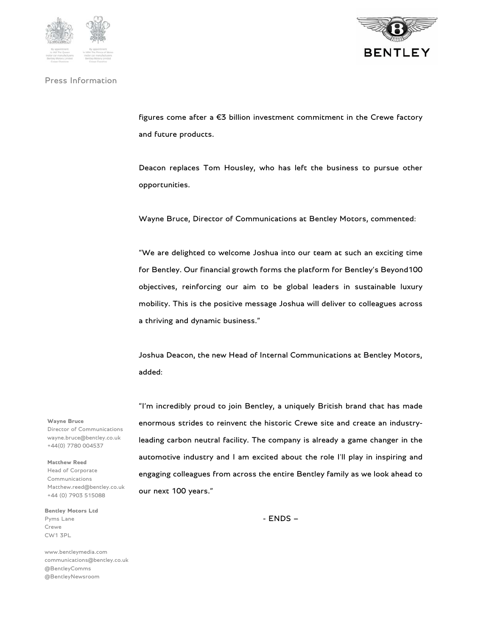

## Press Information



figures come after a €3 billion investment commitment in the Crewe factory and future products.

Deacon replaces Tom Housley, who has left the business to pursue other opportunities.

Wayne Bruce, Director of Communications at Bentley Motors, commented:

"We are delighted to welcome Joshua into our team at such an exciting time for Bentley. Our financial growth forms the platform for Bentley's Beyond100 objectives, reinforcing our aim to be global leaders in sustainable luxury mobility. This is the positive message Joshua will deliver to colleagues across a thriving and dynamic business."

Joshua Deacon, the new Head of Internal Communications at Bentley Motors, added:

"I'm incredibly proud to join Bentley, a uniquely British brand that has made enormous strides to reinvent the historic Crewe site and create an industryleading carbon neutral facility. The company is already a game changer in the automotive industry and I am excited about the role I'll play in inspiring and engaging colleagues from across the entire Bentley family as we look ahead to our next 100 years."

- ENDS –

**Wayne Bruce**  Director of Communications wayne.bruce@bentley.co.uk

+44(0) 7780 004537

**Matthew Reed** 

Head of Corporate Communications Matthew.reed@bentley.co.uk +44 (0) 7903 515088

**Bentley Motors Ltd**  Pyms Lane Crewe CW1 3PL

www.bentleymedia.com communications@bentley.co.uk @BentleyComms @BentleyNewsroom